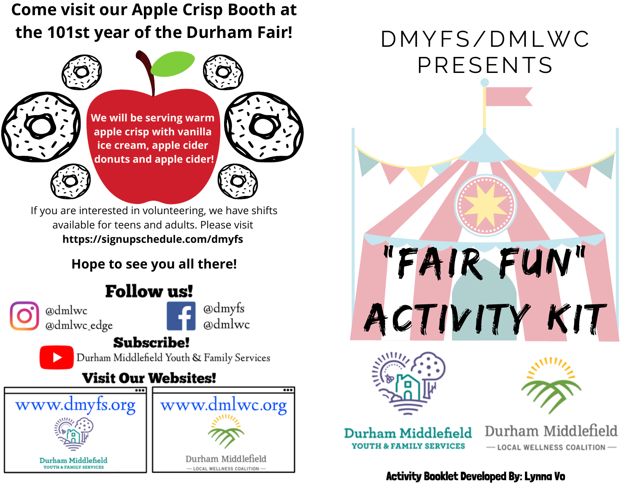**Come visit our Apple Crisp Booth at the 101st year of the Durham Fair!**



**We will be serving warm apple crisp with vanilla ice cream, apple cider donuts and apple cider!**

If you are interested in volunteering, we have shifts available for teens and adults. Please visit **[https://signupschedule.com/dmyfs](https://signupschedule.com/dmyfs?fbclid=IwAR1XlXGf3NmoSSlISCK3UDDNtJczQG8E7nG7yeM3Cl1_P20rXj7S4xrxTbs)**

#### **Hope to see you all there!**

## **Follow us!**

@dmlwc @dmlwc\_edge @dmyfs admlwc

### **Subscribe!**

Durham Middlefield Youth & Family Services

### **Visit Our Websites!**



# DMYFS/DMLWC PRESENTS

"Fair Fun"

Activity Kit





Durham Middlefield **YOUTH & FAMILY SERVICES** 

Durham Middlefield - LOCAL WELLNESS COALITION-

#### Activity Booklet Developed By: Lynna Vo